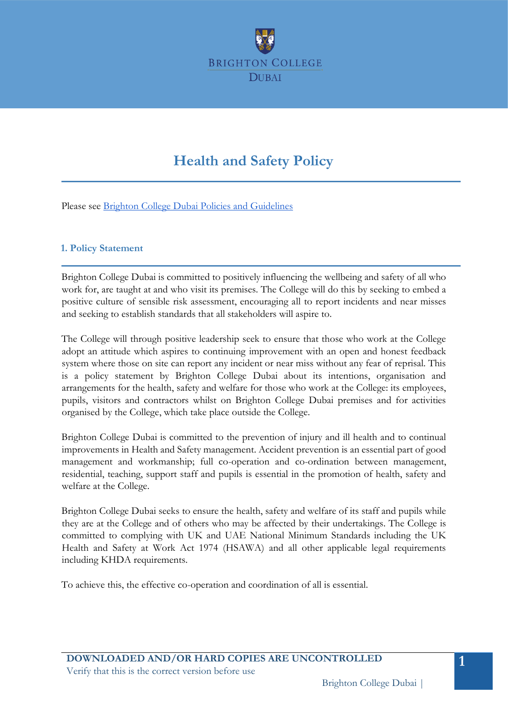

# **Health and Safety Policy**

Please see Brighton College Dubai Policies and Guidelines

### **1. Policy Statement**

Brighton College Dubai is committed to positively influencing the wellbeing and safety of all who work for, are taught at and who visit its premises. The College will do this by seeking to embed a positive culture of sensible risk assessment, encouraging all to report incidents and near misses and seeking to establish standards that all stakeholders will aspire to.

The College will through positive leadership seek to ensure that those who work at the College adopt an attitude which aspires to continuing improvement with an open and honest feedback system where those on site can report any incident or near miss without any fear of reprisal. This is a policy statement by Brighton College Dubai about its intentions, organisation and arrangements for the health, safety and welfare for those who work at the College: its employees, pupils, visitors and contractors whilst on Brighton College Dubai premises and for activities organised by the College, which take place outside the College.

Brighton College Dubai is committed to the prevention of injury and ill health and to continual improvements in Health and Safety management. Accident prevention is an essential part of good management and workmanship; full co-operation and co-ordination between management, residential, teaching, support staff and pupils is essential in the promotion of health, safety and welfare at the College.

Brighton College Dubai seeks to ensure the health, safety and welfare of its staff and pupils while they are at the College and of others who may be affected by their undertakings. The College is committed to complying with UK and UAE National Minimum Standards including the UK Health and Safety at Work Act 1974 (HSAWA) and all other applicable legal requirements including KHDA requirements.

To achieve this, the effective co-operation and coordination of all is essential.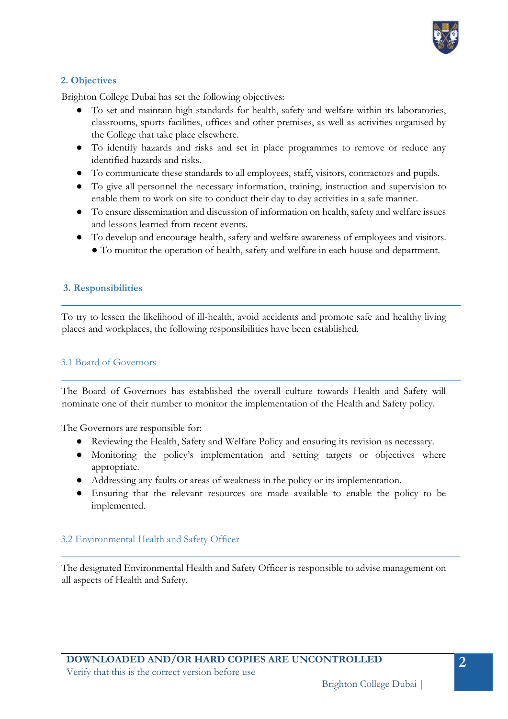

# **2. Objectives**

Brighton College Dubai has set the following objectives:

- To set and maintain high standards for health, safety and welfare within its laboratories, classrooms, sports facilities, offices and other premises, as well as activities organised by the College that take place elsewhere.
- To identify hazards and risks and set in place programmes to remove or reduce any identified hazards and risks.
- To communicate these standards to all employees, staff, visitors, contractors and pupils.
- To give all personnel the necessary information, training, instruction and supervision to enable them to work on site to conduct their day to day activities in a safe manner.
- To ensure dissemination and discussion of information on health, safety and welfare issues and lessons learned from recent events.
- To develop and encourage health, safety and welfare awareness of employees and visitors. ● To monitor the operation of health, safety and welfare in each house and department.

### **3. Responsibilities**

To try to lessen the likelihood of ill-health, avoid accidents and promote safe and healthy living places and workplaces, the following responsibilities have been established.

#### 3.1 Board of Governors

The Board of Governors has established the overall culture towards Health and Safety will nominate one of their number to monitor the implementation of the Health and Safety policy.

The Governors are responsible for:

- Reviewing the Health, Safety and Welfare Policy and ensuring its revision as necessary.
- Monitoring the policy's implementation and setting targets or objectives where appropriate.
- Addressing any faults or areas of weakness in the policy or its implementation.
- Ensuring that the relevant resources are made available to enable the policy to be implemented.

## 3.2 Environmental Health and Safety Officer

The designated Environmental Health and Safety Officer is responsible to advise management on all aspects of Health and Safety.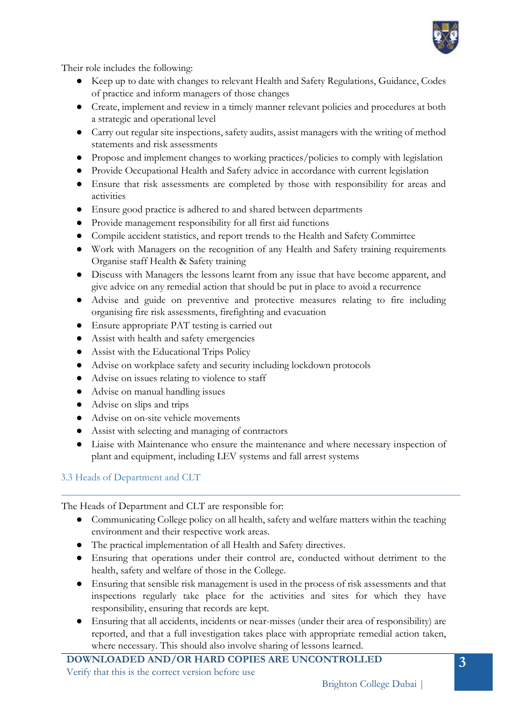

Their role includes the following:

- Keep up to date with changes to relevant Health and Safety Regulations, Guidance, Codes of practice and inform managers of those changes
- Create, implement and review in a timely manner relevant policies and procedures at both a strategic and operational level
- Carry out regular site inspections, safety audits, assist managers with the writing of method statements and risk assessments
- Propose and implement changes to working practices/policies to comply with legislation
- Provide Occupational Health and Safety advice in accordance with current legislation
- Ensure that risk assessments are completed by those with responsibility for areas and activities
- Ensure good practice is adhered to and shared between departments
- Provide management responsibility for all first aid functions
- Compile accident statistics, and report trends to the Health and Safety Committee
- Work with Managers on the recognition of any Health and Safety training requirements Organise staff Health & Safety training
- Discuss with Managers the lessons learnt from any issue that have become apparent, and give advice on any remedial action that should be put in place to avoid a recurrence
- Advise and guide on preventive and protective measures relating to fire including organising fire risk assessments, firefighting and evacuation
- Ensure appropriate PAT testing is carried out
- Assist with health and safety emergencies
- Assist with the Educational Trips Policy
- Advise on workplace safety and security including lockdown protocols
- Advise on issues relating to violence to staff
- Advise on manual handling issues
- Advise on slips and trips
- Advise on on-site vehicle movements
- Assist with selecting and managing of contractors
- Liaise with Maintenance who ensure the maintenance and where necessary inspection of plant and equipment, including LEV systems and fall arrest systems

## 3.3 Heads of Department and CLT

The Heads of Department and CLT are responsible for:

- Communicating College policy on all health, safety and welfare matters within the teaching environment and their respective work areas.
- The practical implementation of all Health and Safety directives.
- Ensuring that operations under their control are, conducted without detriment to the health, safety and welfare of those in the College.
- Ensuring that sensible risk management is used in the process of risk assessments and that inspections regularly take place for the activities and sites for which they have responsibility, ensuring that records are kept.
- Ensuring that all accidents, incidents or near-misses (under their area of responsibility) are reported, and that a full investigation takes place with appropriate remedial action taken, where necessary. This should also involve sharing of lessons learned.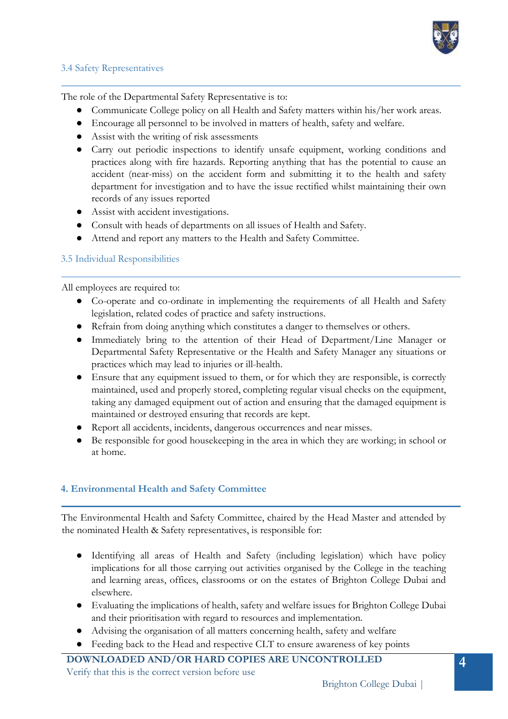

### 3.4 Safety Representatives

The role of the Departmental Safety Representative is to:

- Communicate College policy on all Health and Safety matters within his/her work areas.
- Encourage all personnel to be involved in matters of health, safety and welfare.
- Assist with the writing of risk assessments
- Carry out periodic inspections to identify unsafe equipment, working conditions and practices along with fire hazards. Reporting anything that has the potential to cause an accident (near-miss) on the accident form and submitting it to the health and safety department for investigation and to have the issue rectified whilst maintaining their own records of any issues reported
- Assist with accident investigations.
- Consult with heads of departments on all issues of Health and Safety.
- Attend and report any matters to the Health and Safety Committee.

## 3.5 Individual Responsibilities

All employees are required to:

- Co-operate and co-ordinate in implementing the requirements of all Health and Safety legislation, related codes of practice and safety instructions.
- Refrain from doing anything which constitutes a danger to themselves or others.
- Immediately bring to the attention of their Head of Department/Line Manager or Departmental Safety Representative or the Health and Safety Manager any situations or practices which may lead to injuries or ill-health.
- Ensure that any equipment issued to them, or for which they are responsible, is correctly maintained, used and properly stored, completing regular visual checks on the equipment, taking any damaged equipment out of action and ensuring that the damaged equipment is maintained or destroyed ensuring that records are kept.
- Report all accidents, incidents, dangerous occurrences and near misses.
- Be responsible for good housekeeping in the area in which they are working; in school or at home.

## **4. Environmental Health and Safety Committee**

The Environmental Health and Safety Committee, chaired by the Head Master and attended by the nominated Health & Safety representatives, is responsible for:

- Identifying all areas of Health and Safety (including legislation) which have policy implications for all those carrying out activities organised by the College in the teaching and learning areas, offices, classrooms or on the estates of Brighton College Dubai and elsewhere.
- Evaluating the implications of health, safety and welfare issues for Brighton College Dubai and their prioritisation with regard to resources and implementation.
- Advising the organisation of all matters concerning health, safety and welfare
- Feeding back to the Head and respective CLT to ensure awareness of key points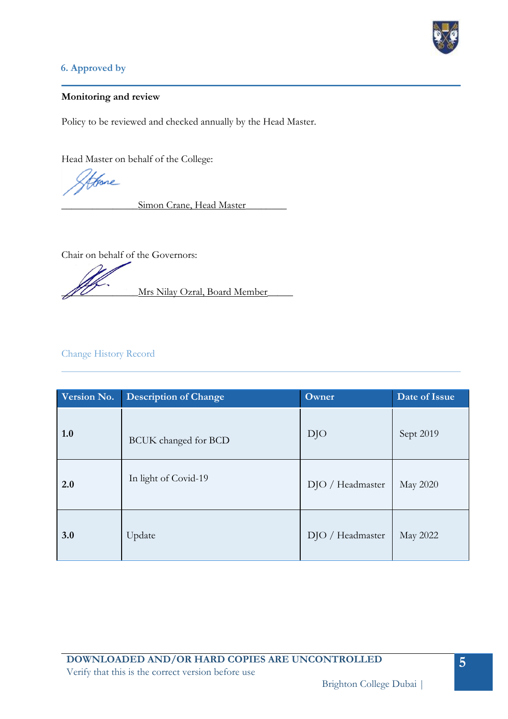

# **6. Approved by**

#### **Monitoring and review**

Policy to be reviewed and checked annually by the Head Master.

Head Master on behalf of the College:

fore

Simon Crane, Head Master

Chair on behalf of the Governors:

Mrs Nilay Ozral, Board Member

# Change History Record

| Version No. | <b>Description of Change</b> | Owner            | Date of Issue |
|-------------|------------------------------|------------------|---------------|
| 1.0         | BCUK changed for BCD         | DJO              | Sept 2019     |
| 2.0         | In light of Covid-19         | DJO / Headmaster | May 2020      |
| 3.0         | Update                       | DJO / Headmaster | May 2022      |